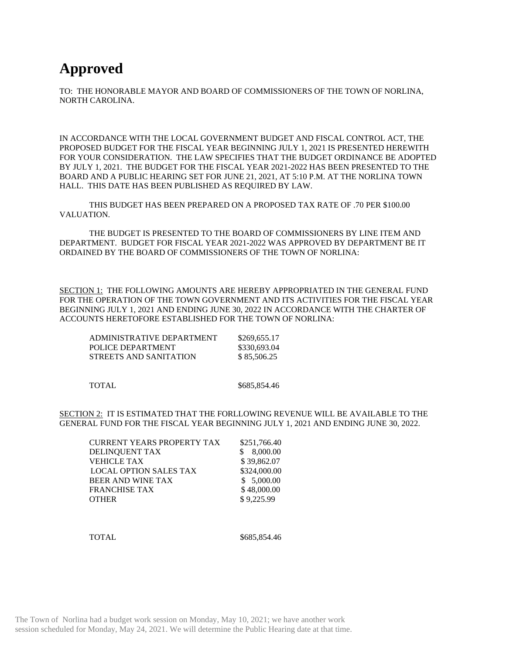## **Approved**

TO: THE HONORABLE MAYOR AND BOARD OF COMMISSIONERS OF THE TOWN OF NORLINA, NORTH CAROLINA.

IN ACCORDANCE WITH THE LOCAL GOVERNMENT BUDGET AND FISCAL CONTROL ACT, THE PROPOSED BUDGET FOR THE FISCAL YEAR BEGINNING JULY 1, 2021 IS PRESENTED HEREWITH FOR YOUR CONSIDERATION. THE LAW SPECIFIES THAT THE BUDGET ORDINANCE BE ADOPTED BY JULY 1, 2021. THE BUDGET FOR THE FISCAL YEAR 2021-2022 HAS BEEN PRESENTED TO THE BOARD AND A PUBLIC HEARING SET FOR JUNE 21, 2021, AT 5:10 P.M. AT THE NORLINA TOWN HALL. THIS DATE HAS BEEN PUBLISHED AS REQUIRED BY LAW.

THIS BUDGET HAS BEEN PREPARED ON A PROPOSED TAX RATE OF .70 PER \$100.00 VALUATION.

THE BUDGET IS PRESENTED TO THE BOARD OF COMMISSIONERS BY LINE ITEM AND DEPARTMENT. BUDGET FOR FISCAL YEAR 2021-2022 WAS APPROVED BY DEPARTMENT BE IT ORDAINED BY THE BOARD OF COMMISSIONERS OF THE TOWN OF NORLINA:

SECTION 1: THE FOLLOWING AMOUNTS ARE HEREBY APPROPRIATED IN THE GENERAL FUND FOR THE OPERATION OF THE TOWN GOVERNMENT AND ITS ACTIVITIES FOR THE FISCAL YEAR BEGINNING JULY 1, 2021 AND ENDING JUNE 30, 2022 IN ACCORDANCE WITH THE CHARTER OF ACCOUNTS HERETOFORE ESTABLISHED FOR THE TOWN OF NORLINA:

| ADMINISTRATIVE DEPARTMENT | \$269,655.17 |
|---------------------------|--------------|
| POLICE DEPARTMENT         | \$330,693.04 |
| STREETS AND SANITATION    | \$85,506.25  |

TOTAL \$685,854.46

SECTION 2: IT IS ESTIMATED THAT THE FORLLOWING REVENUE WILL BE AVAILABLE TO THE GENERAL FUND FOR THE FISCAL YEAR BEGINNING JULY 1, 2021 AND ENDING JUNE 30, 2022.

| CURRENT YEARS PROPERTY TAX    | \$251,766.40 |
|-------------------------------|--------------|
| DELINOUENT TAX                | \$8,000.00   |
| VEHICLE TAX                   | \$39,862.07  |
| <b>LOCAL OPTION SALES TAX</b> | \$324,000.00 |
| BEER AND WINE TAX             | \$5,000.00   |
| <b>FRANCHISE TAX</b>          | \$48,000.00  |
| <b>OTHER</b>                  | \$9,225.99   |
|                               |              |

TOTAL \$685,854.46